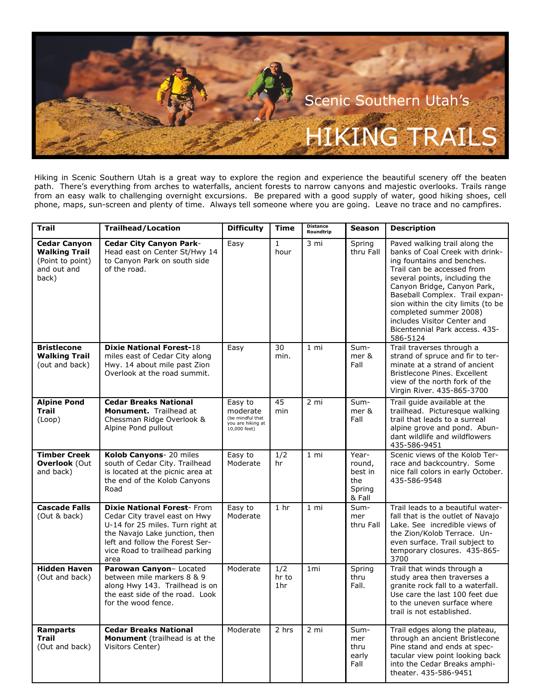

Hiking in Scenic Southern Utah is a great way to explore the region and experience the beautiful scenery off the beaten path. There's everything from arches to waterfalls, ancient forests to narrow canyons and majestic overlooks. Trails range from an easy walk to challenging overnight excursions. Be prepared with a good supply of water, good hiking shoes, cell phone, maps, sun-screen and plenty of time. Always tell someone where you are going. Leave no trace and no campfires.

| Trail                                                                                   | <b>Trailhead/Location</b>                                                                                                                                                                                             | <b>Difficulty</b>                                                              | <b>Time</b>                     | <b>Distance</b><br>Roundtrip | <b>Season</b>                                         | <b>Description</b>                                                                                                                                                                                                                                                                                                                                                          |
|-----------------------------------------------------------------------------------------|-----------------------------------------------------------------------------------------------------------------------------------------------------------------------------------------------------------------------|--------------------------------------------------------------------------------|---------------------------------|------------------------------|-------------------------------------------------------|-----------------------------------------------------------------------------------------------------------------------------------------------------------------------------------------------------------------------------------------------------------------------------------------------------------------------------------------------------------------------------|
| <b>Cedar Canyon</b><br><b>Walking Trail</b><br>(Point to point)<br>and out and<br>back) | <b>Cedar City Canyon Park-</b><br>Head east on Center St/Hwy 14<br>to Canvon Park on south side<br>of the road.                                                                                                       | Easy                                                                           | $\mathbf{1}$<br>hour            | 3 mi                         | Spring<br>thru Fall                                   | Paved walking trail along the<br>banks of Coal Creek with drink-<br>ing fountains and benches.<br>Trail can be accessed from<br>several points, including the<br>Canyon Bridge, Canyon Park,<br>Baseball Complex. Trail expan-<br>sion within the city limits (to be<br>completed summer 2008)<br>includes Visitor Center and<br>Bicentennial Park access. 435-<br>586-5124 |
| <b>Bristlecone</b><br><b>Walking Trail</b><br>(out and back)                            | <b>Dixie National Forest-18</b><br>miles east of Cedar City along<br>Hwy. 14 about mile past Zion<br>Overlook at the road summit.                                                                                     | Easy                                                                           | 30<br>min.                      | $1 \text{ mi}$               | Sum-<br>mer &<br>Fall                                 | Trail traverses through a<br>strand of spruce and fir to ter-<br>minate at a strand of ancient<br>Bristlecone Pines, Excellent<br>view of the north fork of the<br>Virgin River. 435-865-3700                                                                                                                                                                               |
| <b>Alpine Pond</b><br><b>Trail</b><br>(Loop)                                            | <b>Cedar Breaks National</b><br>Monument. Trailhead at<br>Chessman Ridge Overlook &<br>Alpine Pond pullout                                                                                                            | Easy to<br>moderate<br>(be mindful that<br>you are hiking at<br>$10,000$ feet) | 45<br>min                       | $2 \text{ mi}$               | Sum-<br>mer &<br>Fall                                 | Trail guide available at the<br>trailhead. Picturesque walking<br>trail that leads to a surreal<br>alpine grove and pond. Abun-<br>dant wildlife and wildflowers<br>435-586-9451                                                                                                                                                                                            |
| <b>Timber Creek</b><br><b>Overlook (Out</b><br>and back)                                | Kolob Canyons- 20 miles<br>south of Cedar City. Trailhead<br>is located at the picnic area at<br>the end of the Kolob Canyons<br>Road                                                                                 | Easy to<br>Moderate                                                            | 1/2<br>hr                       | $1 \text{ mi}$               | Year-<br>round.<br>best in<br>the<br>Spring<br>& Fall | Scenic views of the Kolob Ter-<br>race and backcountry. Some<br>nice fall colors in early October.<br>435-586-9548                                                                                                                                                                                                                                                          |
| <b>Cascade Falls</b><br>(Out & back)                                                    | <b>Dixie National Forest-From</b><br>Cedar City travel east on Hwy<br>U-14 for 25 miles. Turn right at<br>the Navajo Lake junction, then<br>left and follow the Forest Ser-<br>vice Road to trailhead parking<br>area | Easy to<br>Moderate                                                            | 1 <sub>hr</sub>                 | $1 \text{ mi}$               | Sum-<br>mer<br>thru Fall                              | Trail leads to a beautiful water-<br>fall that is the outlet of Navajo<br>Lake. See incredible views of<br>the Zion/Kolob Terrace. Un-<br>even surface. Trail subject to<br>temporary closures. 435-865-<br>3700                                                                                                                                                            |
| <b>Hidden Haven</b><br>(Out and back)                                                   | Parowan Canyon- Located<br>between mile markers 8 & 9<br>along Hwy 143. Trailhead is on<br>the east side of the road. Look<br>for the wood fence.                                                                     | Moderate                                                                       | 1/2<br>hr to<br>1 <sub>hr</sub> | 1 <sub>mi</sub>              | Spring<br>thru<br>Fall.                               | Trail that winds through a<br>study area then traverses a<br>granite rock fall to a waterfall.<br>Use care the last 100 feet due<br>to the uneven surface where<br>trail is not established.                                                                                                                                                                                |
| <b>Ramparts</b><br>Trail<br>(Out and back)                                              | <b>Cedar Breaks National</b><br>Monument (trailhead is at the<br>Visitors Center)                                                                                                                                     | Moderate                                                                       | 2 hrs                           | 2 mi                         | Sum-<br>mer<br>thru<br>early<br>Fall                  | Trail edges along the plateau,<br>through an ancient Bristlecone<br>Pine stand and ends at spec-<br>tacular view point looking back<br>into the Cedar Breaks amphi-<br>theater. 435-586-9451                                                                                                                                                                                |